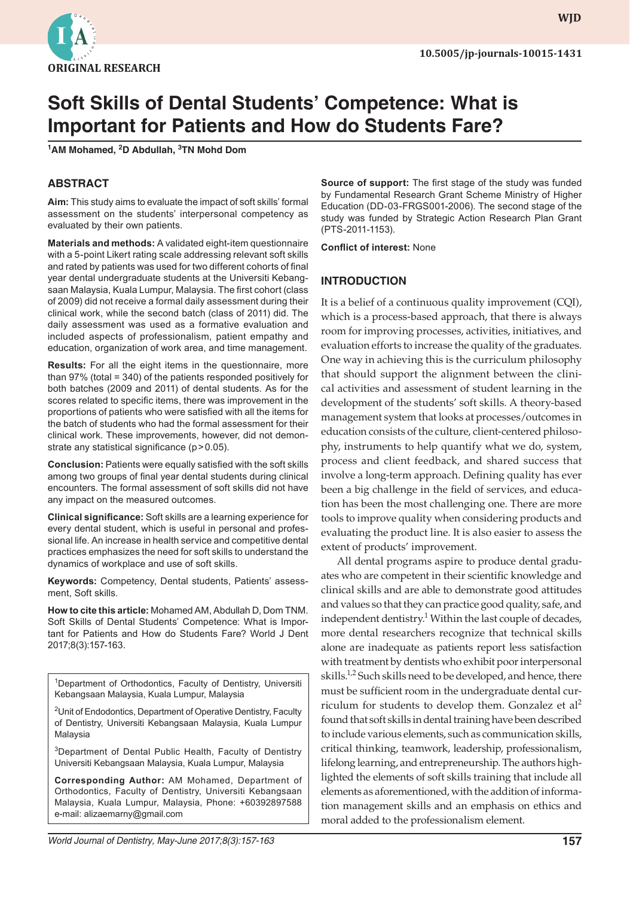

# **Soft Skills of Dental Students' Competence: What is Important for Patients and How do Students Fare?**

**1 AM Mohamed, 2 D Abdullah, 3 TN Mohd Dom**

## **ABSTRACT**

**Aim:** This study aims to evaluate the impact of soft skills' formal assessment on the students' interpersonal competency as evaluated by their own patients.

**Materials and methods:** A validated eight-item questionnaire with a 5-point Likert rating scale addressing relevant soft skills and rated by patients was used for two different cohorts of final year dental undergraduate students at the Universiti Kebangsaan Malaysia, Kuala Lumpur, Malaysia. The first cohort (class of 2009) did not receive a formal daily assessment during their clinical work, while the second batch (class of 2011) did. The daily assessment was used as a formative evaluation and included aspects of professionalism, patient empathy and education, organization of work area, and time management.

**Results:** For all the eight items in the questionnaire, more than 97% (total = 340) of the patients responded positively for both batches (2009 and 2011) of dental students. As for the scores related to specific items, there was improvement in the proportions of patients who were satisfied with all the items for the batch of students who had the formal assessment for their clinical work. These improvements, however, did not demonstrate any statistical significance (p>0.05).

**Conclusion:** Patients were equally satisfied with the soft skills among two groups of final year dental students during clinical encounters. The formal assessment of soft skills did not have any impact on the measured outcomes.

**Clinical significance:** Soft skills are a learning experience for every dental student, which is useful in personal and professional life. An increase in health service and competitive dental practices emphasizes the need for soft skills to understand the dynamics of workplace and use of soft skills.

**Keywords:** Competency, Dental students, Patients' assessment, Soft skills.

**How to cite this article:** Mohamed AM, Abdullah D, Dom TNM. Soft Skills of Dental Students' Competence: What is Important for Patients and How do Students Fare? World J Dent 2017;8(3):157-163.

<sup>1</sup>Department of Orthodontics, Faculty of Dentistry, Universiti Kebangsaan Malaysia, Kuala Lumpur, Malaysia

<sup>2</sup>Unit of Endodontics, Department of Operative Dentistry, Faculty of Dentistry, Universiti Kebangsaan Malaysia, Kuala Lumpur Malaysia

<sup>3</sup>Department of Dental Public Health, Faculty of Dentistry Universiti Kebangsaan Malaysia, Kuala Lumpur, Malaysia

**Corresponding Author:** AM Mohamed, Department of Orthodontics, Faculty of Dentistry, Universiti Kebangsaan Malaysia, Kuala Lumpur, Malaysia, Phone: +60392897588 e-mail: alizaemarny@gmail.com

**Source of support:** The first stage of the study was funded by Fundamental Research Grant Scheme Ministry of Higher Education (DD-03-FRGS001-2006). The second stage of the study was funded by Strategic Action Research Plan Grant (PTS-2011-1153).

**Conflict of interest:** None

## **INTRODUCTION**

It is a belief of a continuous quality improvement (CQI), which is a process-based approach, that there is always room for improving processes, activities, initiatives, and evaluation efforts to increase the quality of the graduates. One way in achieving this is the curriculum philosophy that should support the alignment between the clinical activities and assessment of student learning in the development of the students' soft skills. A theory-based management system that looks at processes/outcomes in education consists of the culture, client-centered philosophy, instruments to help quantify what we do, system, process and client feedback, and shared success that involve a long-term approach. Defining quality has ever been a big challenge in the field of services, and education has been the most challenging one. There are more tools to improve quality when considering products and evaluating the product line. It is also easier to assess the extent of products' improvement.

All dental programs aspire to produce dental graduates who are competent in their scientific knowledge and clinical skills and are able to demonstrate good attitudes and values so that they can practice good quality, safe, and independent dentistry.<sup>1</sup> Within the last couple of decades, more dental researchers recognize that technical skills alone are inadequate as patients report less satisfaction with treatment by dentists who exhibit poor interpersonal skills.<sup>1,2</sup> Such skills need to be developed, and hence, there must be sufficient room in the undergraduate dental curriculum for students to develop them. Gonzalez et  $al^2$ found that soft skills in dental training have been described to include various elements, such as communication skills, critical thinking, teamwork, leadership, professionalism, lifelong learning, and entrepreneurship. The authors highlighted the elements of soft skills training that include all elements as aforementioned, with the addition of information management skills and an emphasis on ethics and moral added to the professionalism element.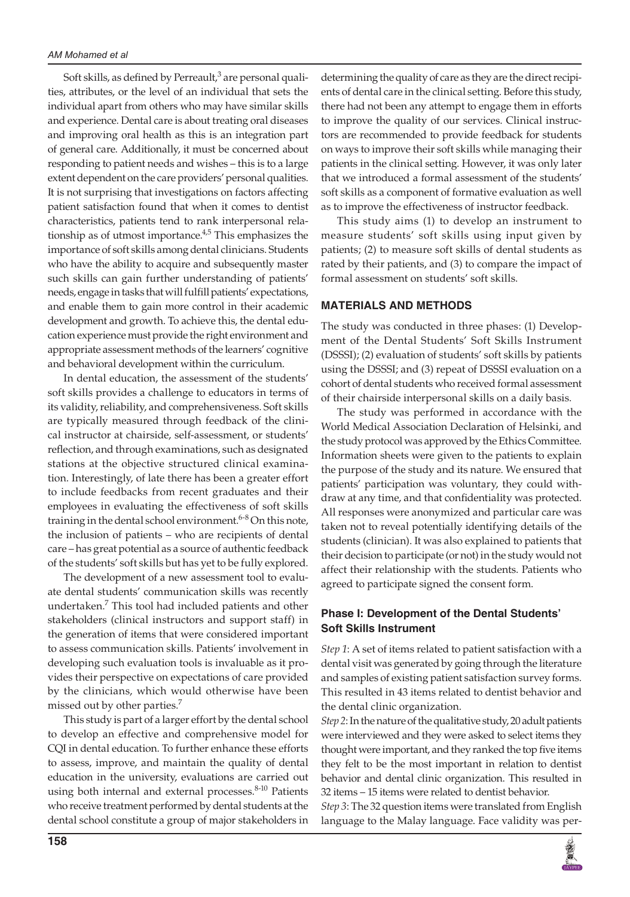Soft skills, as defined by Perreault, $^3$  are personal qualities, attributes, or the level of an individual that sets the individual apart from others who may have similar skills and experience. Dental care is about treating oral diseases and improving oral health as this is an integration part of general care. Additionally, it must be concerned about responding to patient needs and wishes – this is to a large extent dependent on the care providers' personal qualities. It is not surprising that investigations on factors affecting patient satisfaction found that when it comes to dentist characteristics, patients tend to rank interpersonal relationship as of utmost importance. $4,5$  This emphasizes the importance of soft skills among dental clinicians. Students who have the ability to acquire and subsequently master such skills can gain further understanding of patients' needs, engage in tasks that will fulfill patients' expectations, and enable them to gain more control in their academic development and growth. To achieve this, the dental education experience must provide the right environment and appropriate assessment methods of the learners' cognitive and behavioral development within the curriculum.

In dental education, the assessment of the students' soft skills provides a challenge to educators in terms of its validity, reliability, and comprehensiveness. Soft skills are typically measured through feedback of the clinical instructor at chairside, self-assessment, or students' reflection, and through examinations, such as designated stations at the objective structured clinical examination. Interestingly, of late there has been a greater effort to include feedbacks from recent graduates and their employees in evaluating the effectiveness of soft skills training in the dental school environment.<sup>6-8</sup> On this note, the inclusion of patients – who are recipients of dental care – has great potential as a source of authentic feedback of the students' soft skills but has yet to be fully explored.

The development of a new assessment tool to evaluate dental students' communication skills was recently undertaken.<sup>7</sup> This tool had included patients and other stakeholders (clinical instructors and support staff) in the generation of items that were considered important to assess communication skills. Patients' involvement in developing such evaluation tools is invaluable as it provides their perspective on expectations of care provided by the clinicians, which would otherwise have been missed out by other parties.<sup>7</sup>

This study is part of a larger effort by the dental school to develop an effective and comprehensive model for CQI in dental education. To further enhance these efforts to assess, improve, and maintain the quality of dental education in the university, evaluations are carried out using both internal and external processes.<sup>8-10</sup> Patients who receive treatment performed by dental students at the dental school constitute a group of major stakeholders in

determining the quality of care as they are the direct recipients of dental care in the clinical setting. Before this study, there had not been any attempt to engage them in efforts to improve the quality of our services. Clinical instructors are recommended to provide feedback for students on ways to improve their soft skills while managing their patients in the clinical setting. However, it was only later that we introduced a formal assessment of the students' soft skills as a component of formative evaluation as well as to improve the effectiveness of instructor feedback.

This study aims (1) to develop an instrument to measure students' soft skills using input given by patients; (2) to measure soft skills of dental students as rated by their patients, and (3) to compare the impact of formal assessment on students' soft skills.

#### **MATERIALS AND METHODS**

The study was conducted in three phases: (1) Development of the Dental Students' Soft Skills Instrument (DSSSI); (2) evaluation of students' soft skills by patients using the DSSSI; and (3) repeat of DSSSI evaluation on a cohort of dental students who received formal assessment of their chairside interpersonal skills on a daily basis.

The study was performed in accordance with the World Medical Association Declaration of Helsinki, and the study protocol was approved by the Ethics Committee. Information sheets were given to the patients to explain the purpose of the study and its nature. We ensured that patients' participation was voluntary, they could withdraw at any time, and that confidentiality was protected. All responses were anonymized and particular care was taken not to reveal potentially identifying details of the students (clinician). It was also explained to patients that their decision to participate (or not) in the study would not affect their relationship with the students. Patients who agreed to participate signed the consent form.

#### **Phase I: Development of the Dental Students' Soft Skills Instrument**

*Step 1*: A set of items related to patient satisfaction with a dental visit was generated by going through the literature and samples of existing patient satisfaction survey forms. This resulted in 43 items related to dentist behavior and the dental clinic organization.

*Step 2*: In the nature of the qualitative study, 20 adult patients were interviewed and they were asked to select items they thought were important, and they ranked the top five items they felt to be the most important in relation to dentist behavior and dental clinic organization. This resulted in 32 items – 15 items were related to dentist behavior.

*Step 3*: The 32 question items were translated from English language to the Malay language. Face validity was per-

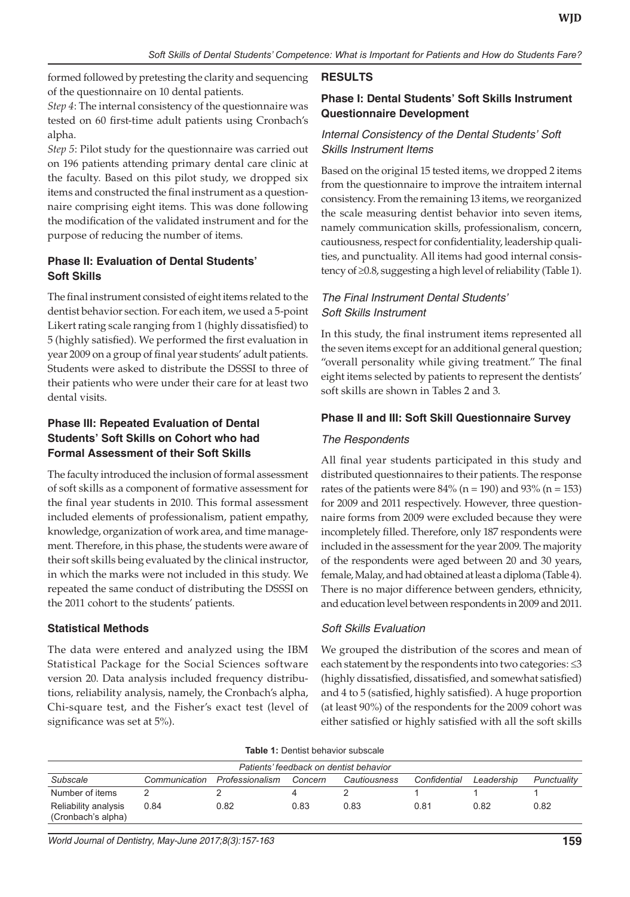formed followed by pretesting the clarity and sequencing of the questionnaire on 10 dental patients.

*Step 4*: The internal consistency of the questionnaire was tested on 60 first-time adult patients using Cronbach's alpha.

*Step 5*: Pilot study for the questionnaire was carried out on 196 patients attending primary dental care clinic at the faculty. Based on this pilot study, we dropped six items and constructed the final instrument as a questionnaire comprising eight items. This was done following the modification of the validated instrument and for the purpose of reducing the number of items.

# **Phase II: Evaluation of Dental Students' Soft Skills**

The final instrument consisted of eight items related to the dentist behavior section. For each item, we used a 5-point Likert rating scale ranging from 1 (highly dissatisfied) to 5 (highly satisfied). We performed the first evaluation in year 2009 on a group of final year students' adult patients. Students were asked to distribute the DSSSI to three of their patients who were under their care for at least two dental visits.

# **Phase III: Repeated Evaluation of Dental Students' Soft Skills on Cohort who had Formal Assessment of their Soft Skills**

The faculty introduced the inclusion of formal assessment of soft skills as a component of formative assessment for the final year students in 2010. This formal assessment included elements of professionalism, patient empathy, knowledge, organization of work area, and time management. Therefore, in this phase, the students were aware of their soft skills being evaluated by the clinical instructor, in which the marks were not included in this study. We repeated the same conduct of distributing the DSSSI on the 2011 cohort to the students' patients.

# **Statistical Methods**

The data were entered and analyzed using the IBM Statistical Package for the Social Sciences software version 20. Data analysis included frequency distributions, reliability analysis, namely, the Cronbach's alpha, Chi-square test, and the Fisher's exact test (level of significance was set at 5%).

# **RESULTS**

# **Phase I: Dental Students' Soft Skills Instrument Questionnaire Development**

# *Internal Consistency of the Dental Students' Soft Skills Instrument Items*

Based on the original 15 tested items, we dropped 2 items from the questionnaire to improve the intraitem internal consistency. From the remaining 13 items, we reorganized the scale measuring dentist behavior into seven items, namely communication skills, professionalism, concern, cautiousness, respect for confidentiality, leadership qualities, and punctuality. All items had good internal consistency of ≥0.8, suggesting a high level of reliability (Table 1).

## *The Final Instrument Dental Students' Soft Skills Instrument*

In this study, the final instrument items represented all the seven items except for an additional general question; "overall personality while giving treatment." The final eight items selected by patients to represent the dentists' soft skills are shown in Tables 2 and 3.

# **Phase II and III: Soft Skill Questionnaire Survey**

## *The Respondents*

All final year students participated in this study and distributed questionnaires to their patients. The response rates of the patients were  $84\%$  (n = 190) and  $93\%$  (n = 153) for 2009 and 2011 respectively. However, three questionnaire forms from 2009 were excluded because they were incompletely filled. Therefore, only 187 respondents were included in the assessment for the year 2009. The majority of the respondents were aged between 20 and 30 years, female, Malay, and had obtained at least a diploma (Table 4). There is no major difference between genders, ethnicity, and education level between respondents in 2009 and 2011.

## *Soft Skills Evaluation*

We grouped the distribution of the scores and mean of each statement by the respondents into two categories: ≤3 (highly dissatisfied, dissatisfied, and somewhat satisfied) and 4 to 5 (satisfied, highly satisfied). A huge proportion (at least 90%) of the respondents for the 2009 cohort was either satisfied or highly satisfied with all the soft skills

| <b>Table 1: Dentist behavior subscale</b> |
|-------------------------------------------|
|                                           |

| Patients' feedback on dentist behavior     |               |                 |         |              |              |            |             |
|--------------------------------------------|---------------|-----------------|---------|--------------|--------------|------------|-------------|
| Subscale                                   | Communication | Professionalism | Concern | Cautiousness | Confidential | Leadership | Punctuality |
| Number of items                            |               |                 |         |              |              |            |             |
| Reliability analysis<br>(Cronbach's alpha) | 0.84          | 0.82            | 0.83    | 0.83         | 0.81         | 0.82       | 0.82        |

*World Journal of Dentistry, May-June 2017;8(3):157-163* **159**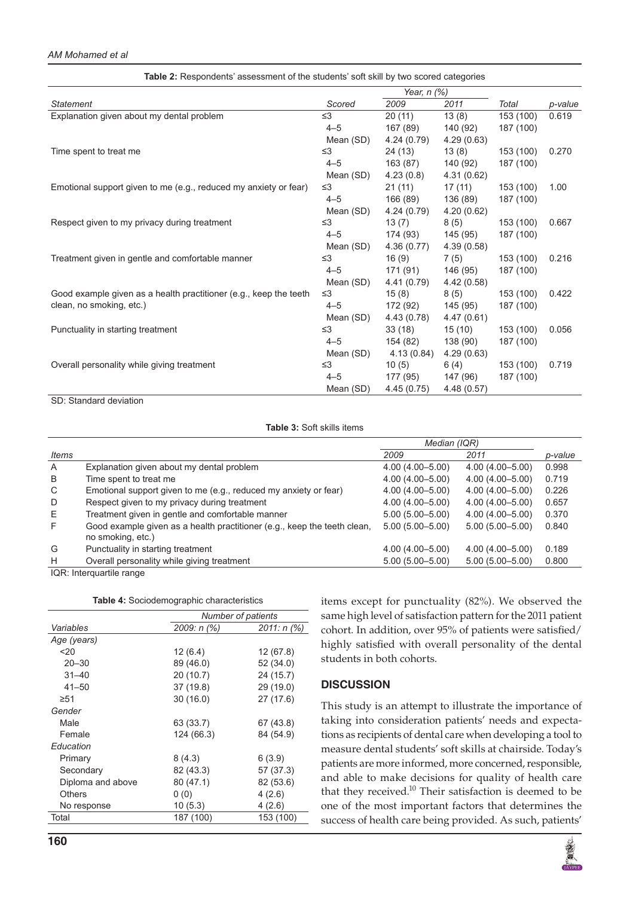#### *AM Mohamed et al*

| Table 2: Respondents' assessment of the students' soft skill by two scored categories |             |             |             |           |         |
|---------------------------------------------------------------------------------------|-------------|-------------|-------------|-----------|---------|
|                                                                                       | Year, n (%) |             |             |           |         |
| <b>Statement</b>                                                                      | Scored      | 2009        | 2011        | Total     | p-value |
| Explanation given about my dental problem                                             | $\leq$ 3    | 20(11)      | 13(8)       | 153 (100) | 0.619   |
|                                                                                       | $4 - 5$     | 167 (89)    | 140 (92)    | 187 (100) |         |
|                                                                                       | Mean (SD)   | 4.24(0.79)  | 4.29(0.63)  |           |         |
| Time spent to treat me                                                                | $\leq$ 3    | 24 (13)     | 13(8)       | 153 (100) | 0.270   |
|                                                                                       | $4 - 5$     | 163 (87)    | 140 (92)    | 187 (100) |         |
|                                                                                       | Mean (SD)   | 4.23(0.8)   | 4.31(0.62)  |           |         |
| Emotional support given to me (e.g., reduced my anxiety or fear)                      | $\leq$ 3    | 21(11)      | 17(11)      | 153 (100) | 1.00    |
|                                                                                       | $4 - 5$     | 166 (89)    | 136 (89)    | 187 (100) |         |
|                                                                                       | Mean (SD)   | 4.24(0.79)  | 4.20(0.62)  |           |         |
| Respect given to my privacy during treatment                                          | $\leq$ 3    | 13(7)       | 8(5)        | 153 (100) | 0.667   |
|                                                                                       | $4 - 5$     | 174 (93)    | 145 (95)    | 187 (100) |         |
|                                                                                       | Mean (SD)   | 4.36(0.77)  | 4.39(0.58)  |           |         |
| Treatment given in gentle and comfortable manner                                      | $\leq$ 3    | 16(9)       | 7(5)        | 153 (100) | 0.216   |
|                                                                                       | $4 - 5$     | 171 (91)    | 146 (95)    | 187 (100) |         |
|                                                                                       | Mean (SD)   | 4.41 (0.79) | 4.42(0.58)  |           |         |
| Good example given as a health practitioner (e.g., keep the teeth                     | $\leq$ 3    | 15(8)       | 8(5)        | 153 (100) | 0.422   |
| clean, no smoking, etc.)                                                              | $4 - 5$     | 172 (92)    | 145 (95)    | 187 (100) |         |
|                                                                                       | Mean (SD)   | 4.43 (0.78) | 4.47(0.61)  |           |         |
| Punctuality in starting treatment                                                     | $\leq$ 3    | 33(18)      | 15(10)      | 153 (100) | 0.056   |
|                                                                                       | $4 - 5$     | 154 (82)    | 138 (90)    | 187 (100) |         |
|                                                                                       | Mean (SD)   | 4.13(0.84)  | 4.29(0.63)  |           |         |
| Overall personality while giving treatment                                            | $\leq$ 3    | 10(5)       | 6 (4)       | 153 (100) | 0.719   |
|                                                                                       | $4 - 5$     | 177 (95)    | 147 (96)    | 187 (100) |         |
|                                                                                       | Mean (SD)   | 4.45(0.75)  | 4.48 (0.57) |           |         |

SD: Standard deviation

**Table 3:** Soft skills items

|              |                                                                          | Median (IQR)        |                     |         |
|--------------|--------------------------------------------------------------------------|---------------------|---------------------|---------|
| Items        |                                                                          | 2009                | 2011                | p-value |
| $\mathsf{A}$ | Explanation given about my dental problem                                | $4.00(4.00 - 5.00)$ | $4.00(4.00 - 5.00)$ | 0.998   |
| B            | Time spent to treat me                                                   | $4.00(4.00 - 5.00)$ | $4.00(4.00 - 5.00)$ | 0.719   |
| C            | Emotional support given to me (e.g., reduced my anxiety or fear)         | $4.00(4.00 - 5.00)$ | 4.00 (4.00 - 5.00)  | 0.226   |
| D            | Respect given to my privacy during treatment                             | $4.00(4.00 - 5.00)$ | $4.00(4.00 - 5.00)$ | 0.657   |
| E            | Treatment given in gentle and comfortable manner                         | $5.00(5.00 - 5.00)$ | $4.00(4.00 - 5.00)$ | 0.370   |
| F            | Good example given as a health practitioner (e.g., keep the teeth clean, | $5.00(5.00 - 5.00)$ | $5.00(5.00 - 5.00)$ | 0.840   |
|              | no smoking, etc.)                                                        |                     |                     |         |
| G            | Punctuality in starting treatment                                        | $4.00(4.00 - 5.00)$ | $4.00(4.00 - 5.00)$ | 0.189   |
| H            | Overall personality while giving treatment                               | $5.00(5.00 - 5.00)$ | $5.00(5.00 - 5.00)$ | 0.800   |

IQR: Interquartile range

| Table 4: Sociodemographic characteristics |
|-------------------------------------------|
|-------------------------------------------|

|                   |               | Number of patients |  |
|-------------------|---------------|--------------------|--|
| Variables         | $2009: n$ (%) | 2011: n (%)        |  |
| Age (years)       |               |                    |  |
| $20$              | 12(6.4)       | 12 (67.8)          |  |
| $20 - 30$         | 89 (46.0)     | 52 (34.0)          |  |
| $31 - 40$         | 20(10.7)      | 24 (15.7)          |  |
| $41 - 50$         | 37 (19.8)     | 29 (19.0)          |  |
| $\geq 51$         | 30(16.0)      | 27 (17.6)          |  |
| Gender            |               |                    |  |
| Male              | 63 (33.7)     | 67 (43.8)          |  |
| Female            | 124 (66.3)    | 84 (54.9)          |  |
| Education         |               |                    |  |
| Primary           | 8(4.3)        | 6 (3.9)            |  |
| Secondary         | 82 (43.3)     | 57 (37.3)          |  |
| Diploma and above | 80 (47.1)     | 82 (53.6)          |  |
| Others            | 0(0)          | 4(2.6)             |  |
| No response       | 10 (5.3)      | 4(2.6)             |  |
| Total             | 187 (100)     | 153 (100)          |  |
|                   |               |                    |  |

items except for punctuality (82%). We observed the same high level of satisfaction pattern for the 2011 patient cohort. In addition, over 95% of patients were satisfied/ highly satisfied with overall personality of the dental students in both cohorts.

#### **DISCUSSION**

This study is an attempt to illustrate the importance of taking into consideration patients' needs and expectations as recipients of dental care when developing a tool to measure dental students' soft skills at chairside. Today's patients are more informed, more concerned, responsible, and able to make decisions for quality of health care that they received. $10$  Their satisfaction is deemed to be one of the most important factors that determines the success of health care being provided. As such, patients'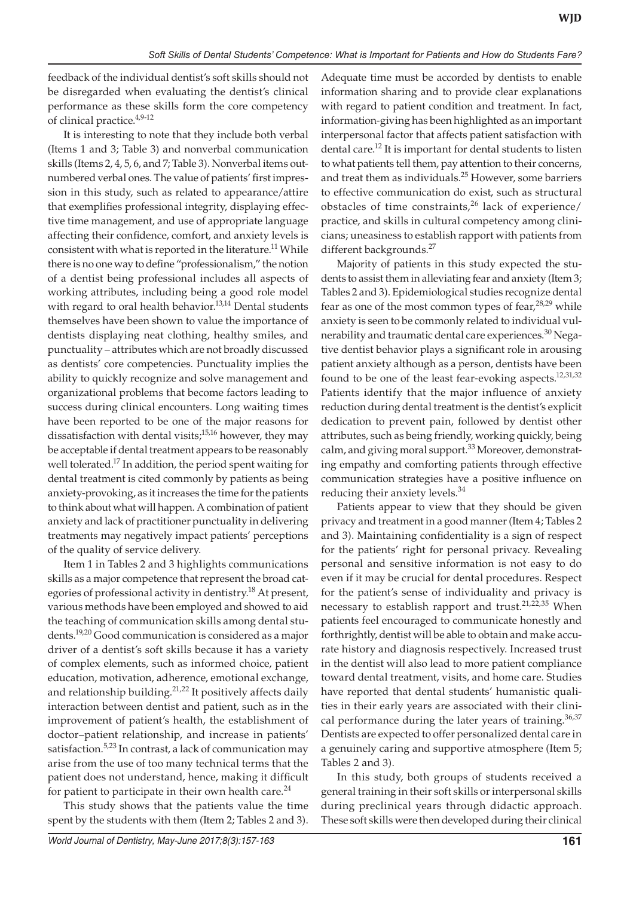feedback of the individual dentist's soft skills should not be disregarded when evaluating the dentist's clinical performance as these skills form the core competency of clinical practice.4,9-12

It is interesting to note that they include both verbal (Items 1 and 3; Table 3) and nonverbal communication skills (Items 2, 4, 5, 6, and 7; Table 3). Nonverbal items outnumbered verbal ones. The value of patients' first impression in this study, such as related to appearance/attire that exemplifies professional integrity, displaying effective time management, and use of appropriate language affecting their confidence, comfort, and anxiety levels is consistent with what is reported in the literature.<sup>11</sup> While there is no one way to define "professionalism," the notion of a dentist being professional includes all aspects of working attributes, including being a good role model with regard to oral health behavior.<sup>13,14</sup> Dental students themselves have been shown to value the importance of dentists displaying neat clothing, healthy smiles, and punctuality – attributes which are not broadly discussed as dentists' core competencies. Punctuality implies the ability to quickly recognize and solve management and organizational problems that become factors leading to success during clinical encounters. Long waiting times have been reported to be one of the major reasons for dissatisfaction with dental visits; $15,16$  however, they may be acceptable if dental treatment appears to be reasonably well tolerated.<sup>17</sup> In addition, the period spent waiting for dental treatment is cited commonly by patients as being anxiety-provoking, as it increases the time for the patients to think about what will happen. A combination of patient anxiety and lack of practitioner punctuality in delivering treatments may negatively impact patients' perceptions of the quality of service delivery.

Item 1 in Tables 2 and 3 highlights communications skills as a major competence that represent the broad categories of professional activity in dentistry.<sup>18</sup> At present, various methods have been employed and showed to aid the teaching of communication skills among dental students.19,20 Good communication is considered as a major driver of a dentist's soft skills because it has a variety of complex elements, such as informed choice, patient education, motivation, adherence, emotional exchange, and relationship building.<sup>21,22</sup> It positively affects daily interaction between dentist and patient, such as in the improvement of patient's health, the establishment of doctor–patient relationship, and increase in patients' satisfaction.<sup>5,23</sup> In contrast, a lack of communication may arise from the use of too many technical terms that the patient does not understand, hence, making it difficult for patient to participate in their own health care. $^{24}$ 

This study shows that the patients value the time spent by the students with them (Item 2; Tables 2 and 3). Adequate time must be accorded by dentists to enable information sharing and to provide clear explanations with regard to patient condition and treatment. In fact, information-giving has been highlighted as an important interpersonal factor that affects patient satisfaction with dental care.<sup>12</sup> It is important for dental students to listen to what patients tell them, pay attention to their concerns, and treat them as individuals.<sup>25</sup> However, some barriers to effective communication do exist, such as structural obstacles of time constraints, $26$  lack of experience/ practice, and skills in cultural competency among clinicians; uneasiness to establish rapport with patients from different backgrounds.<sup>27</sup>

Majority of patients in this study expected the students to assist them in alleviating fear and anxiety (Item 3; Tables 2 and 3). Epidemiological studies recognize dental fear as one of the most common types of fear,<sup>28,29</sup> while anxiety is seen to be commonly related to individual vulnerability and traumatic dental care experiences.<sup>30</sup> Negative dentist behavior plays a significant role in arousing patient anxiety although as a person, dentists have been found to be one of the least fear-evoking aspects.<sup>12,31,32</sup> Patients identify that the major influence of anxiety reduction during dental treatment is the dentist's explicit dedication to prevent pain, followed by dentist other attributes, such as being friendly, working quickly, being calm, and giving moral support.<sup>33</sup> Moreover, demonstrating empathy and comforting patients through effective communication strategies have a positive influence on reducing their anxiety levels.<sup>34</sup>

Patients appear to view that they should be given privacy and treatment in a good manner (Item 4; Tables 2 and 3). Maintaining confidentiality is a sign of respect for the patients' right for personal privacy. Revealing personal and sensitive information is not easy to do even if it may be crucial for dental procedures. Respect for the patient's sense of individuality and privacy is necessary to establish rapport and trust.<sup>21,22,35</sup> When patients feel encouraged to communicate honestly and forthrightly, dentist will be able to obtain and make accurate history and diagnosis respectively. Increased trust in the dentist will also lead to more patient compliance toward dental treatment, visits, and home care. Studies have reported that dental students' humanistic qualities in their early years are associated with their clinical performance during the later years of training.<sup>36,37</sup> Dentists are expected to offer personalized dental care in a genuinely caring and supportive atmosphere (Item 5; Tables 2 and 3).

In this study, both groups of students received a general training in their soft skills or interpersonal skills during preclinical years through didactic approach. These soft skills were then developed during their clinical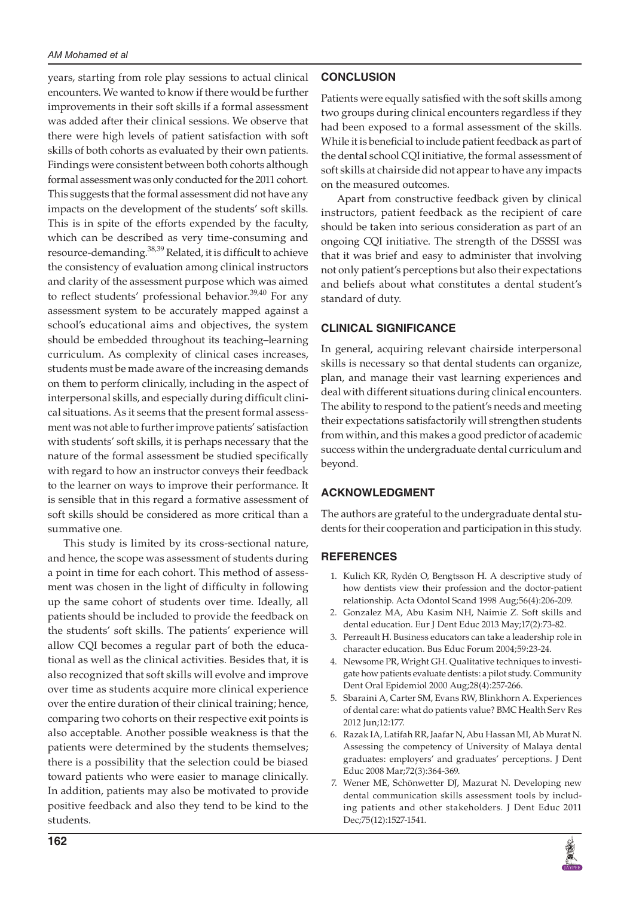years, starting from role play sessions to actual clinical encounters. We wanted to know if there would be further improvements in their soft skills if a formal assessment was added after their clinical sessions. We observe that there were high levels of patient satisfaction with soft skills of both cohorts as evaluated by their own patients. Findings were consistent between both cohorts although formal assessment was only conducted for the 2011 cohort. This suggests that the formal assessment did not have any impacts on the development of the students' soft skills. This is in spite of the efforts expended by the faculty, which can be described as very time-consuming and resource-demanding.<sup>38,39</sup> Related, it is difficult to achieve the consistency of evaluation among clinical instructors and clarity of the assessment purpose which was aimed to reflect students' professional behavior.<sup>39,40</sup> For any assessment system to be accurately mapped against a school's educational aims and objectives, the system should be embedded throughout its teaching–learning curriculum. As complexity of clinical cases increases, students must be made aware of the increasing demands on them to perform clinically, including in the aspect of interpersonal skills, and especially during difficult clinical situations. As it seems that the present formal assessment was not able to further improve patients' satisfaction with students' soft skills, it is perhaps necessary that the nature of the formal assessment be studied specifically with regard to how an instructor conveys their feedback to the learner on ways to improve their performance. It is sensible that in this regard a formative assessment of soft skills should be considered as more critical than a summative one.

This study is limited by its cross-sectional nature, and hence, the scope was assessment of students during a point in time for each cohort. This method of assessment was chosen in the light of difficulty in following up the same cohort of students over time. Ideally, all patients should be included to provide the feedback on the students' soft skills. The patients' experience will allow CQI becomes a regular part of both the educational as well as the clinical activities. Besides that, it is also recognized that soft skills will evolve and improve over time as students acquire more clinical experience over the entire duration of their clinical training; hence, comparing two cohorts on their respective exit points is also acceptable. Another possible weakness is that the patients were determined by the students themselves; there is a possibility that the selection could be biased toward patients who were easier to manage clinically. In addition, patients may also be motivated to provide positive feedback and also they tend to be kind to the students.

# **CONCLUSION**

Patients were equally satisfied with the soft skills among two groups during clinical encounters regardless if they had been exposed to a formal assessment of the skills. While it is beneficial to include patient feedback as part of the dental school CQI initiative, the formal assessment of soft skills at chairside did not appear to have any impacts on the measured outcomes.

Apart from constructive feedback given by clinical instructors, patient feedback as the recipient of care should be taken into serious consideration as part of an ongoing CQI initiative. The strength of the DSSSI was that it was brief and easy to administer that involving not only patient's perceptions but also their expectations and beliefs about what constitutes a dental student's standard of duty.

## **CLINICAL SIGNIFICANCE**

In general, acquiring relevant chairside interpersonal skills is necessary so that dental students can organize, plan, and manage their vast learning experiences and deal with different situations during clinical encounters. The ability to respond to the patient's needs and meeting their expectations satisfactorily will strengthen students from within, and this makes a good predictor of academic success within the undergraduate dental curriculum and beyond.

## **ACKNOWLEDGMENT**

The authors are grateful to the undergraduate dental students for their cooperation and participation in this study.

## **REFERENCES**

- 1. Kulich KR, Rydén O, Bengtsson H. A descriptive study of how dentists view their profession and the doctor-patient relationship. Acta Odontol Scand 1998 Aug;56(4):206-209.
- 2. Gonzalez MA, Abu Kasim NH, Naimie Z. Soft skills and dental education. Eur J Dent Educ 2013 May;17(2):73-82.
- 3. Perreault H. Business educators can take a leadership role in character education. Bus Educ Forum 2004;59:23-24.
- 4. Newsome PR, Wright GH. Qualitative techniques to investigate how patients evaluate dentists: a pilot study. Community Dent Oral Epidemiol 2000 Aug;28(4):257-266.
- 5. Sbaraini A, Carter SM, Evans RW, Blinkhorn A. Experiences of dental care: what do patients value? BMC Health Serv Res 2012 Jun;12:177.
- 6. Razak IA, Latifah RR, Jaafar N, Abu Hassan MI, Ab Murat N. Assessing the competency of University of Malaya dental graduates: employers' and graduates' perceptions. J Dent Educ 2008 Mar;72(3):364-369.
- 7. Wener ME, Schönwetter DJ, Mazurat N. Developing new dental communication skills assessment tools by including patients and other stakeholders. J Dent Educ 2011 Dec;75(12):1527-1541.